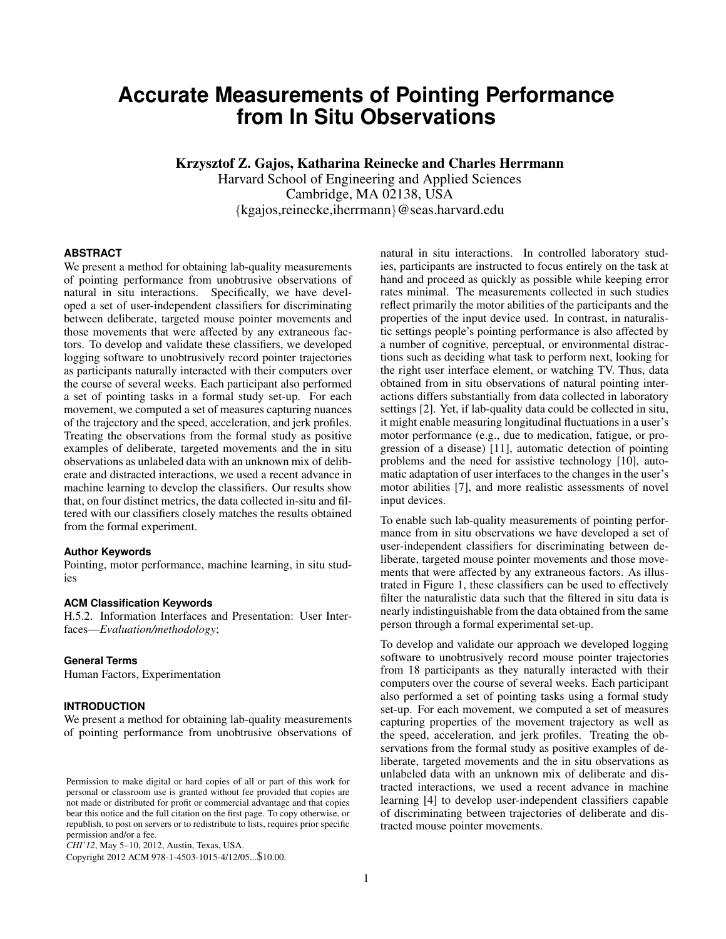# **Accurate Measurements of Pointing Performance from In Situ Observations**

Krzysztof Z. Gajos, Katharina Reinecke and Charles Herrmann

Harvard School of Engineering and Applied Sciences Cambridge, MA 02138, USA {kgajos,reinecke,iherrmann}@seas.harvard.edu

## **ABSTRACT**

We present a method for obtaining lab-quality measurements of pointing performance from unobtrusive observations of natural in situ interactions. Specifically, we have developed a set of user-independent classifiers for discriminating between deliberate, targeted mouse pointer movements and those movements that were affected by any extraneous factors. To develop and validate these classifiers, we developed logging software to unobtrusively record pointer trajectories as participants naturally interacted with their computers over the course of several weeks. Each participant also performed a set of pointing tasks in a formal study set-up. For each movement, we computed a set of measures capturing nuances of the trajectory and the speed, acceleration, and jerk profiles. Treating the observations from the formal study as positive examples of deliberate, targeted movements and the in situ observations as unlabeled data with an unknown mix of deliberate and distracted interactions, we used a recent advance in machine learning to develop the classifiers. Our results show that, on four distinct metrics, the data collected in-situ and filtered with our classifiers closely matches the results obtained from the formal experiment.

#### **Author Keywords**

Pointing, motor performance, machine learning, in situ studies

#### **ACM Classification Keywords**

H.5.2. Information Interfaces and Presentation: User Interfaces—*Evaluation/methodology*;

#### **General Terms**

Human Factors, Experimentation

## **INTRODUCTION**

We present a method for obtaining lab-quality measurements of pointing performance from unobtrusive observations of natural in situ interactions. In controlled laboratory studies, participants are instructed to focus entirely on the task at hand and proceed as quickly as possible while keeping error rates minimal. The measurements collected in such studies reflect primarily the motor abilities of the participants and the properties of the input device used. In contrast, in naturalistic settings people's pointing performance is also affected by a number of cognitive, perceptual, or environmental distractions such as deciding what task to perform next, looking for the right user interface element, or watching TV. Thus, data obtained from in situ observations of natural pointing interactions differs substantially from data collected in laboratory settings [\[2\]](#page-9-0). Yet, if lab-quality data could be collected in situ, it might enable measuring longitudinal fluctuations in a user's motor performance (e.g., due to medication, fatigue, or progression of a disease) [\[11\]](#page-9-1), automatic detection of pointing problems and the need for assistive technology [\[10\]](#page-9-2), automatic adaptation of user interfaces to the changes in the user's motor abilities [\[7\]](#page-9-3), and more realistic assessments of novel input devices.

To enable such lab-quality measurements of pointing performance from in situ observations we have developed a set of user-independent classifiers for discriminating between deliberate, targeted mouse pointer movements and those movements that were affected by any extraneous factors. As illustrated in Figure [1,](#page-1-0) these classifiers can be used to effectively filter the naturalistic data such that the filtered in situ data is nearly indistinguishable from the data obtained from the same person through a formal experimental set-up.

To develop and validate our approach we developed logging software to unobtrusively record mouse pointer trajectories from 18 participants as they naturally interacted with their computers over the course of several weeks. Each participant also performed a set of pointing tasks using a formal study set-up. For each movement, we computed a set of measures capturing properties of the movement trajectory as well as the speed, acceleration, and jerk profiles. Treating the observations from the formal study as positive examples of deliberate, targeted movements and the in situ observations as unlabeled data with an unknown mix of deliberate and distracted interactions, we used a recent advance in machine learning [\[4\]](#page-9-4) to develop user-independent classifiers capable of discriminating between trajectories of deliberate and distracted mouse pointer movements.

Permission to make digital or hard copies of all or part of this work for personal or classroom use is granted without fee provided that copies are not made or distributed for profit or commercial advantage and that copies bear this notice and the full citation on the first page. To copy otherwise, or republish, to post on servers or to redistribute to lists, requires prior specific permission and/or a fee.

*CHI'12*, May 5–10, 2012, Austin, Texas, USA.

Copyright 2012 ACM 978-1-4503-1015-4/12/05...\$10.00.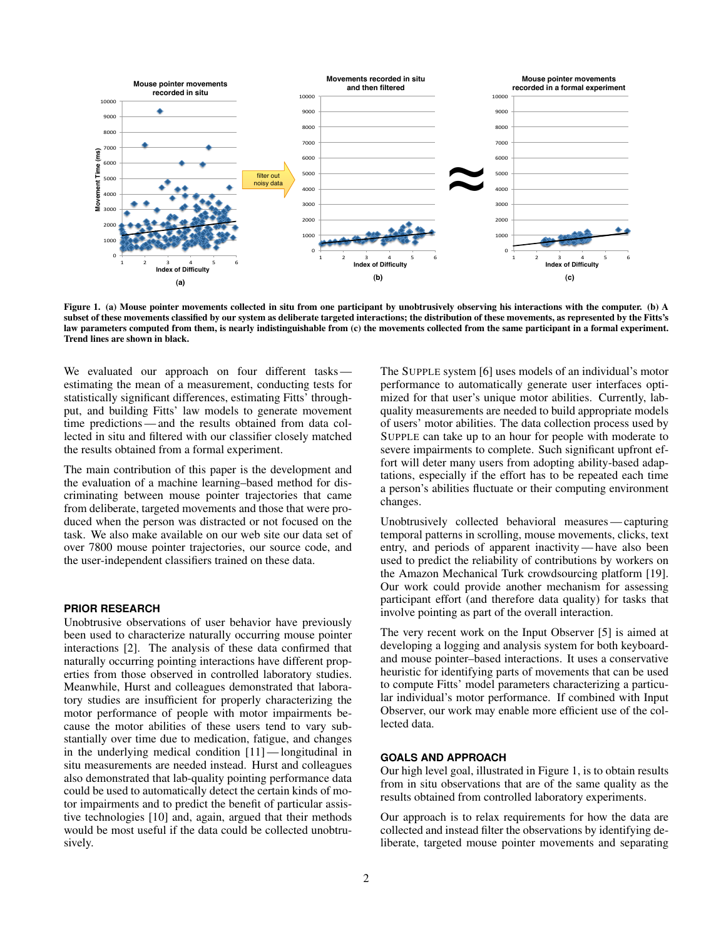

<span id="page-1-0"></span>Figure 1. (a) Mouse pointer movements collected in situ from one participant by unobtrusively observing his interactions with the computer. (b) A subset of these movements classified by our system as deliberate targeted interactions; the distribution of these movements, as represented by the Fitts's law parameters computed from them, is nearly indistinguishable from (c) the movements collected from the same participant in a formal experiment. Trend lines are shown in black.

We evaluated our approach on four different tasks estimating the mean of a measurement, conducting tests for statistically significant differences, estimating Fitts' throughput, and building Fitts' law models to generate movement time predictions — and the results obtained from data collected in situ and filtered with our classifier closely matched the results obtained from a formal experiment.

The main contribution of this paper is the development and the evaluation of a machine learning–based method for discriminating between mouse pointer trajectories that came from deliberate, targeted movements and those that were produced when the person was distracted or not focused on the task. We also make available on our web site our data set of over 7800 mouse pointer trajectories, our source code, and the user-independent classifiers trained on these data.

#### **PRIOR RESEARCH**

Unobtrusive observations of user behavior have previously been used to characterize naturally occurring mouse pointer interactions [\[2\]](#page-9-0). The analysis of these data confirmed that naturally occurring pointing interactions have different properties from those observed in controlled laboratory studies. Meanwhile, Hurst and colleagues demonstrated that laboratory studies are insufficient for properly characterizing the motor performance of people with motor impairments because the motor abilities of these users tend to vary substantially over time due to medication, fatigue, and changes in the underlying medical condition [\[11\]](#page-9-1)— longitudinal in situ measurements are needed instead. Hurst and colleagues also demonstrated that lab-quality pointing performance data could be used to automatically detect the certain kinds of motor impairments and to predict the benefit of particular assistive technologies [\[10\]](#page-9-2) and, again, argued that their methods would be most useful if the data could be collected unobtrusively.

The SUPPLE system [\[6\]](#page-9-5) uses models of an individual's motor performance to automatically generate user interfaces optimized for that user's unique motor abilities. Currently, labquality measurements are needed to build appropriate models of users' motor abilities. The data collection process used by SUPPLE can take up to an hour for people with moderate to severe impairments to complete. Such significant upfront effort will deter many users from adopting ability-based adaptations, especially if the effort has to be repeated each time a person's abilities fluctuate or their computing environment changes.

Unobtrusively collected behavioral measures — capturing temporal patterns in scrolling, mouse movements, clicks, text entry, and periods of apparent inactivity— have also been used to predict the reliability of contributions by workers on the Amazon Mechanical Turk crowdsourcing platform [\[19\]](#page-9-6). Our work could provide another mechanism for assessing participant effort (and therefore data quality) for tasks that involve pointing as part of the overall interaction.

The very recent work on the Input Observer [\[5\]](#page-9-7) is aimed at developing a logging and analysis system for both keyboardand mouse pointer–based interactions. It uses a conservative heuristic for identifying parts of movements that can be used to compute Fitts' model parameters characterizing a particular individual's motor performance. If combined with Input Observer, our work may enable more efficient use of the collected data.

#### **GOALS AND APPROACH**

Our high level goal, illustrated in Figure [1,](#page-1-0) is to obtain results from in situ observations that are of the same quality as the results obtained from controlled laboratory experiments.

Our approach is to relax requirements for how the data are collected and instead filter the observations by identifying deliberate, targeted mouse pointer movements and separating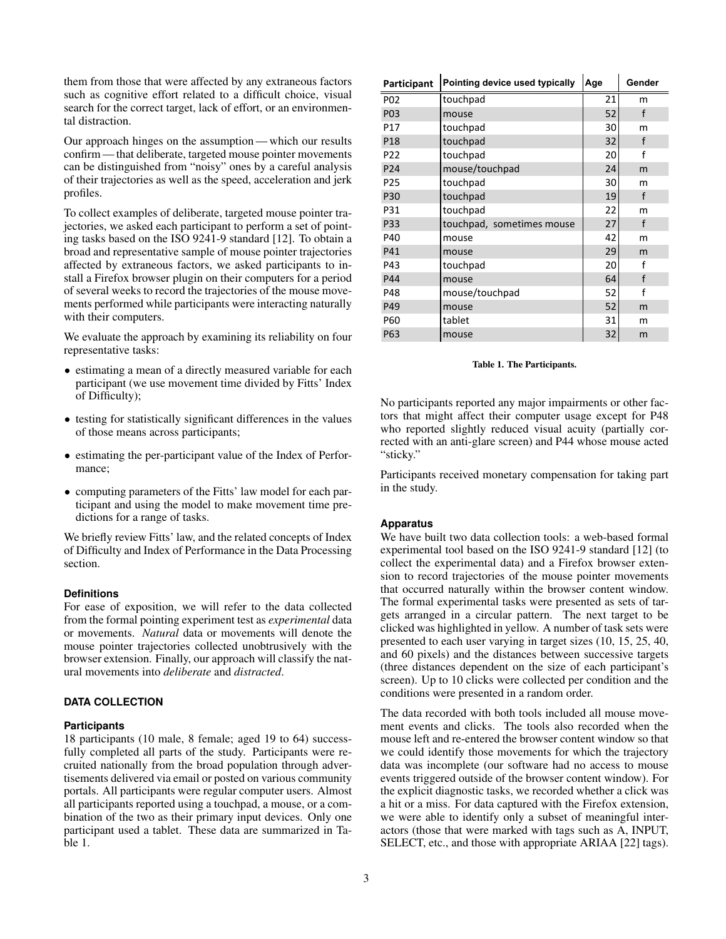them from those that were affected by any extraneous factors such as cognitive effort related to a difficult choice, visual search for the correct target, lack of effort, or an environmental distraction.

Our approach hinges on the assumption — which our results confirm — that deliberate, targeted mouse pointer movements can be distinguished from "noisy" ones by a careful analysis of their trajectories as well as the speed, acceleration and jerk profiles.

To collect examples of deliberate, targeted mouse pointer trajectories, we asked each participant to perform a set of pointing tasks based on the ISO 9241-9 standard [\[12\]](#page-9-8). To obtain a broad and representative sample of mouse pointer trajectories affected by extraneous factors, we asked participants to install a Firefox browser plugin on their computers for a period of several weeks to record the trajectories of the mouse movements performed while participants were interacting naturally with their computers.

We evaluate the approach by examining its reliability on four representative tasks:

- estimating a mean of a directly measured variable for each participant (we use movement time divided by Fitts' Index of Difficulty);
- testing for statistically significant differences in the values of those means across participants;
- estimating the per-participant value of the Index of Performance;
- computing parameters of the Fitts' law model for each participant and using the model to make movement time predictions for a range of tasks.

We briefly review Fitts' law, and the related concepts of Index of Difficulty and Index of Performance in the Data Processing section.

#### **Definitions**

For ease of exposition, we will refer to the data collected from the formal pointing experiment test as *experimental* data or movements. *Natural* data or movements will denote the mouse pointer trajectories collected unobtrusively with the browser extension. Finally, our approach will classify the natural movements into *deliberate* and *distracted*.

## **DATA COLLECTION**

#### **Participants**

18 participants (10 male, 8 female; aged 19 to 64) successfully completed all parts of the study. Participants were recruited nationally from the broad population through advertisements delivered via email or posted on various community portals. All participants were regular computer users. Almost all participants reported using a touchpad, a mouse, or a combination of the two as their primary input devices. Only one participant used a tablet. These data are summarized in Table [1.](#page-2-0)

| Participant      | Pointing device used typically | Age | Gender |
|------------------|--------------------------------|-----|--------|
| P <sub>0</sub> 2 | touchpad                       | 21  | m      |
| P03              | mouse                          | 52  | f      |
| P17              | touchpad                       | 30  | m      |
| P18              | touchpad                       | 32  | f      |
| P22              | touchpad                       | 20  | f      |
| P24              | mouse/touchpad                 | 24  | m      |
| P25              | touchpad                       | 30  | m      |
| P30              | touchpad                       | 19  | f      |
| P31              | touchpad                       | 22  | m      |
| P33              | touchpad, sometimes mouse      | 27  | f      |
| P40              | mouse                          | 42  | m      |
| P41              | mouse                          | 29  | m      |
| P43              | touchpad                       | 20  | f      |
| P44              | mouse                          | 64  | f      |
| P48              | mouse/touchpad                 | 52  | f      |
| P49              | mouse                          | 52  | m      |
| P60              | tablet                         | 31  | m      |
| P63              | mouse                          | 32  | m      |

#### <span id="page-2-0"></span>Table 1. The Participants.

No participants reported any major impairments or other factors that might affect their computer usage except for P48 who reported slightly reduced visual acuity (partially corrected with an anti-glare screen) and P44 whose mouse acted "sticky."

Participants received monetary compensation for taking part in the study.

#### **Apparatus**

We have built two data collection tools: a web-based formal experimental tool based on the ISO 9241-9 standard [\[12\]](#page-9-8) (to collect the experimental data) and a Firefox browser extension to record trajectories of the mouse pointer movements that occurred naturally within the browser content window. The formal experimental tasks were presented as sets of targets arranged in a circular pattern. The next target to be clicked was highlighted in yellow. A number of task sets were presented to each user varying in target sizes (10, 15, 25, 40, and 60 pixels) and the distances between successive targets (three distances dependent on the size of each participant's screen). Up to 10 clicks were collected per condition and the conditions were presented in a random order.

The data recorded with both tools included all mouse movement events and clicks. The tools also recorded when the mouse left and re-entered the browser content window so that we could identify those movements for which the trajectory data was incomplete (our software had no access to mouse events triggered outside of the browser content window). For the explicit diagnostic tasks, we recorded whether a click was a hit or a miss. For data captured with the Firefox extension, we were able to identify only a subset of meaningful interactors (those that were marked with tags such as A, INPUT, SELECT, etc., and those with appropriate ARIAA [\[22\]](#page-9-9) tags).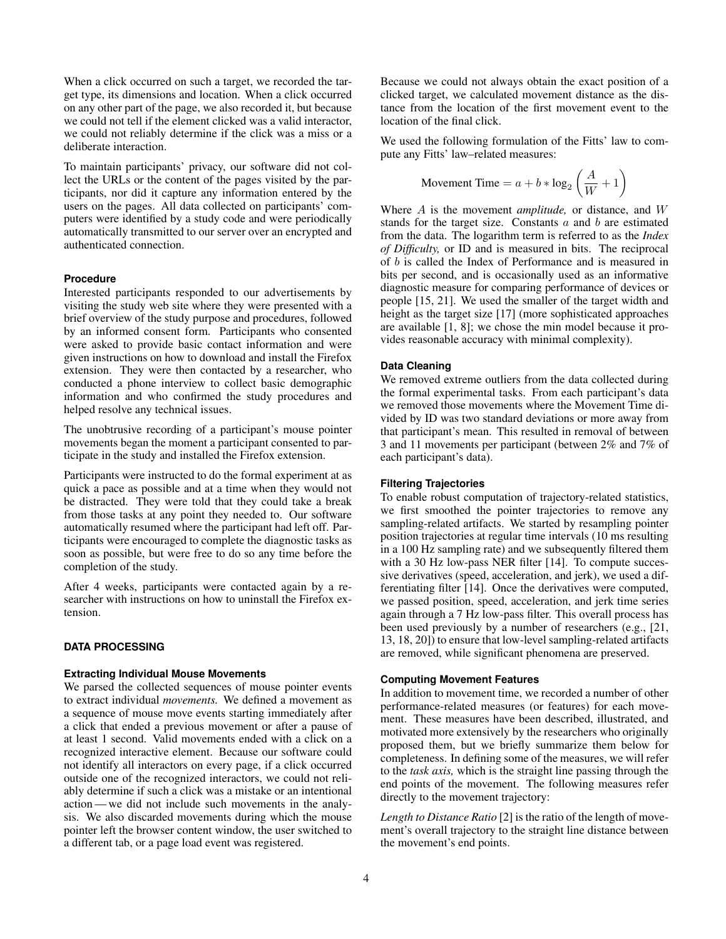When a click occurred on such a target, we recorded the target type, its dimensions and location. When a click occurred on any other part of the page, we also recorded it, but because we could not tell if the element clicked was a valid interactor, we could not reliably determine if the click was a miss or a deliberate interaction.

To maintain participants' privacy, our software did not collect the URLs or the content of the pages visited by the participants, nor did it capture any information entered by the users on the pages. All data collected on participants' computers were identified by a study code and were periodically automatically transmitted to our server over an encrypted and authenticated connection.

#### **Procedure**

Interested participants responded to our advertisements by visiting the study web site where they were presented with a brief overview of the study purpose and procedures, followed by an informed consent form. Participants who consented were asked to provide basic contact information and were given instructions on how to download and install the Firefox extension. They were then contacted by a researcher, who conducted a phone interview to collect basic demographic information and who confirmed the study procedures and helped resolve any technical issues.

The unobtrusive recording of a participant's mouse pointer movements began the moment a participant consented to participate in the study and installed the Firefox extension.

Participants were instructed to do the formal experiment at as quick a pace as possible and at a time when they would not be distracted. They were told that they could take a break from those tasks at any point they needed to. Our software automatically resumed where the participant had left off. Participants were encouraged to complete the diagnostic tasks as soon as possible, but were free to do so any time before the completion of the study.

After 4 weeks, participants were contacted again by a researcher with instructions on how to uninstall the Firefox extension.

# **DATA PROCESSING**

#### **Extracting Individual Mouse Movements**

We parsed the collected sequences of mouse pointer events to extract individual *movements.* We defined a movement as a sequence of mouse move events starting immediately after a click that ended a previous movement or after a pause of at least 1 second. Valid movements ended with a click on a recognized interactive element. Because our software could not identify all interactors on every page, if a click occurred outside one of the recognized interactors, we could not reliably determine if such a click was a mistake or an intentional action — we did not include such movements in the analysis. We also discarded movements during which the mouse pointer left the browser content window, the user switched to a different tab, or a page load event was registered.

Because we could not always obtain the exact position of a clicked target, we calculated movement distance as the distance from the location of the first movement event to the location of the final click.

We used the following formulation of the Fitts' law to compute any Fitts' law–related measures:

$$
M\text{ovement Time} = a + b * \log_2\left(\frac{A}{W} + 1\right)
$$

Where A is the movement *amplitude,* or distance, and W stands for the target size. Constants  $a$  and  $b$  are estimated from the data. The logarithm term is referred to as the *Index of Difficulty,* or ID and is measured in bits. The reciprocal of b is called the Index of Performance and is measured in bits per second, and is occasionally used as an informative diagnostic measure for comparing performance of devices or people [\[15,](#page-9-10) [21\]](#page-9-11). We used the smaller of the target width and height as the target size [\[17\]](#page-9-12) (more sophisticated approaches are available [\[1,](#page-9-13) [8\]](#page-9-14); we chose the min model because it provides reasonable accuracy with minimal complexity).

## **Data Cleaning**

We removed extreme outliers from the data collected during the formal experimental tasks. From each participant's data we removed those movements where the Movement Time divided by ID was two standard deviations or more away from that participant's mean. This resulted in removal of between 3 and 11 movements per participant (between 2% and 7% of each participant's data).

## **Filtering Trajectories**

To enable robust computation of trajectory-related statistics, we first smoothed the pointer trajectories to remove any sampling-related artifacts. We started by resampling pointer position trajectories at regular time intervals (10 ms resulting in a 100 Hz sampling rate) and we subsequently filtered them with a 30 Hz low-pass NER filter [\[14\]](#page-9-15). To compute successive derivatives (speed, acceleration, and jerk), we used a differentiating filter [\[14\]](#page-9-15). Once the derivatives were computed, we passed position, speed, acceleration, and jerk time series again through a 7 Hz low-pass filter. This overall process has been used previously by a number of researchers (e.g., [\[21,](#page-9-11) [13,](#page-9-16) [18,](#page-9-17) [20\]](#page-9-18)) to ensure that low-level sampling-related artifacts are removed, while significant phenomena are preserved.

#### **Computing Movement Features**

In addition to movement time, we recorded a number of other performance-related measures (or features) for each movement. These measures have been described, illustrated, and motivated more extensively by the researchers who originally proposed them, but we briefly summarize them below for completeness. In defining some of the measures, we will refer to the *task axis,* which is the straight line passing through the end points of the movement. The following measures refer directly to the movement trajectory:

*Length to Distance Ratio* [\[2\]](#page-9-0) is the ratio of the length of movement's overall trajectory to the straight line distance between the movement's end points.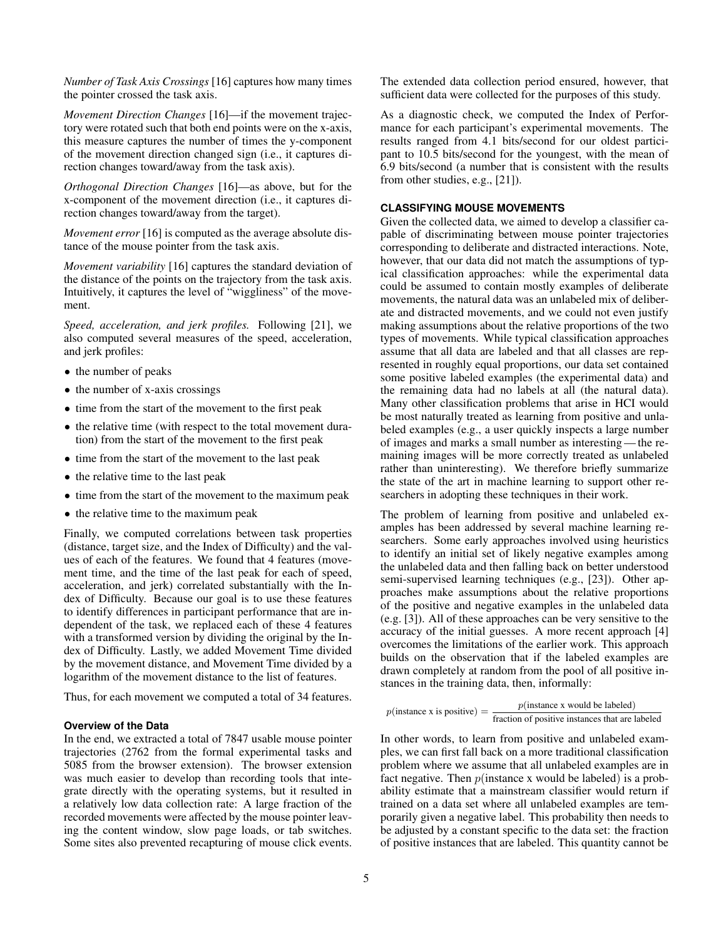*Number of Task Axis Crossings* [\[16\]](#page-9-19) captures how many times the pointer crossed the task axis.

*Movement Direction Changes* [\[16\]](#page-9-19)—if the movement trajectory were rotated such that both end points were on the x-axis, this measure captures the number of times the y-component of the movement direction changed sign (i.e., it captures direction changes toward/away from the task axis).

*Orthogonal Direction Changes* [\[16\]](#page-9-19)—as above, but for the x-component of the movement direction (i.e., it captures direction changes toward/away from the target).

*Movement error* [\[16\]](#page-9-19) is computed as the average absolute distance of the mouse pointer from the task axis.

*Movement variability* [\[16\]](#page-9-19) captures the standard deviation of the distance of the points on the trajectory from the task axis. Intuitively, it captures the level of "wiggliness" of the movement.

*Speed, acceleration, and jerk profiles.* Following [\[21\]](#page-9-11), we also computed several measures of the speed, acceleration, and jerk profiles:

- the number of peaks
- the number of x-axis crossings
- time from the start of the movement to the first peak
- the relative time (with respect to the total movement duration) from the start of the movement to the first peak
- time from the start of the movement to the last peak
- the relative time to the last peak
- time from the start of the movement to the maximum peak
- the relative time to the maximum peak

Finally, we computed correlations between task properties (distance, target size, and the Index of Difficulty) and the values of each of the features. We found that 4 features (movement time, and the time of the last peak for each of speed, acceleration, and jerk) correlated substantially with the Index of Difficulty. Because our goal is to use these features to identify differences in participant performance that are independent of the task, we replaced each of these 4 features with a transformed version by dividing the original by the Index of Difficulty. Lastly, we added Movement Time divided by the movement distance, and Movement Time divided by a logarithm of the movement distance to the list of features.

Thus, for each movement we computed a total of 34 features.

#### **Overview of the Data**

In the end, we extracted a total of 7847 usable mouse pointer trajectories (2762 from the formal experimental tasks and 5085 from the browser extension). The browser extension was much easier to develop than recording tools that integrate directly with the operating systems, but it resulted in a relatively low data collection rate: A large fraction of the recorded movements were affected by the mouse pointer leaving the content window, slow page loads, or tab switches. Some sites also prevented recapturing of mouse click events.

The extended data collection period ensured, however, that sufficient data were collected for the purposes of this study.

As a diagnostic check, we computed the Index of Performance for each participant's experimental movements. The results ranged from 4.1 bits/second for our oldest participant to 10.5 bits/second for the youngest, with the mean of 6.9 bits/second (a number that is consistent with the results from other studies, e.g., [\[21\]](#page-9-11)).

# **CLASSIFYING MOUSE MOVEMENTS**

Given the collected data, we aimed to develop a classifier capable of discriminating between mouse pointer trajectories corresponding to deliberate and distracted interactions. Note, however, that our data did not match the assumptions of typical classification approaches: while the experimental data could be assumed to contain mostly examples of deliberate movements, the natural data was an unlabeled mix of deliberate and distracted movements, and we could not even justify making assumptions about the relative proportions of the two types of movements. While typical classification approaches assume that all data are labeled and that all classes are represented in roughly equal proportions, our data set contained some positive labeled examples (the experimental data) and the remaining data had no labels at all (the natural data). Many other classification problems that arise in HCI would be most naturally treated as learning from positive and unlabeled examples (e.g., a user quickly inspects a large number of images and marks a small number as interesting — the remaining images will be more correctly treated as unlabeled rather than uninteresting). We therefore briefly summarize the state of the art in machine learning to support other researchers in adopting these techniques in their work.

The problem of learning from positive and unlabeled examples has been addressed by several machine learning researchers. Some early approaches involved using heuristics to identify an initial set of likely negative examples among the unlabeled data and then falling back on better understood semi-supervised learning techniques (e.g., [\[23\]](#page-9-20)). Other approaches make assumptions about the relative proportions of the positive and negative examples in the unlabeled data (e.g. [\[3\]](#page-9-21)). All of these approaches can be very sensitive to the accuracy of the initial guesses. A more recent approach [\[4\]](#page-9-4) overcomes the limitations of the earlier work. This approach builds on the observation that if the labeled examples are drawn completely at random from the pool of all positive instances in the training data, then, informally:

```
p(\text{instance } x \text{ is positive}) = \frac{p(\text{instance } x \text{ would be labeled})}{\text{fraction of positive instances that are labeled}}
```
In other words, to learn from positive and unlabeled examples, we can first fall back on a more traditional classification problem where we assume that all unlabeled examples are in fact negative. Then  $p$ (instance x would be labeled) is a probability estimate that a mainstream classifier would return if trained on a data set where all unlabeled examples are temporarily given a negative label. This probability then needs to be adjusted by a constant specific to the data set: the fraction of positive instances that are labeled. This quantity cannot be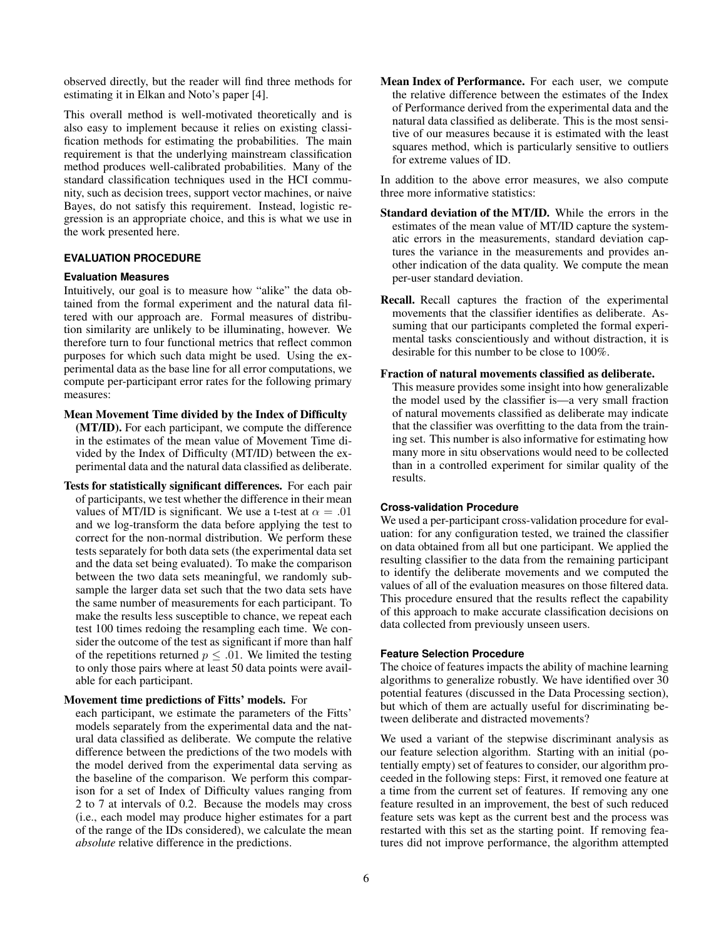observed directly, but the reader will find three methods for estimating it in Elkan and Noto's paper [\[4\]](#page-9-4).

This overall method is well-motivated theoretically and is also easy to implement because it relies on existing classification methods for estimating the probabilities. The main requirement is that the underlying mainstream classification method produces well-calibrated probabilities. Many of the standard classification techniques used in the HCI community, such as decision trees, support vector machines, or naive Bayes, do not satisfy this requirement. Instead, logistic regression is an appropriate choice, and this is what we use in the work presented here.

## **EVALUATION PROCEDURE**

#### **Evaluation Measures**

Intuitively, our goal is to measure how "alike" the data obtained from the formal experiment and the natural data filtered with our approach are. Formal measures of distribution similarity are unlikely to be illuminating, however. We therefore turn to four functional metrics that reflect common purposes for which such data might be used. Using the experimental data as the base line for all error computations, we compute per-participant error rates for the following primary measures:

## Mean Movement Time divided by the Index of Difficulty

(MT/ID). For each participant, we compute the difference in the estimates of the mean value of Movement Time divided by the Index of Difficulty (MT/ID) between the experimental data and the natural data classified as deliberate.

Tests for statistically significant differences. For each pair of participants, we test whether the difference in their mean values of MT/ID is significant. We use a t-test at  $\alpha = .01$ and we log-transform the data before applying the test to correct for the non-normal distribution. We perform these tests separately for both data sets (the experimental data set and the data set being evaluated). To make the comparison between the two data sets meaningful, we randomly subsample the larger data set such that the two data sets have the same number of measurements for each participant. To make the results less susceptible to chance, we repeat each test 100 times redoing the resampling each time. We consider the outcome of the test as significant if more than half of the repetitions returned  $p \leq .01$ . We limited the testing to only those pairs where at least 50 data points were available for each participant.

### Movement time predictions of Fitts' models. For

each participant, we estimate the parameters of the Fitts' models separately from the experimental data and the natural data classified as deliberate. We compute the relative difference between the predictions of the two models with the model derived from the experimental data serving as the baseline of the comparison. We perform this comparison for a set of Index of Difficulty values ranging from 2 to 7 at intervals of 0.2. Because the models may cross (i.e., each model may produce higher estimates for a part of the range of the IDs considered), we calculate the mean *absolute* relative difference in the predictions.

Mean Index of Performance. For each user, we compute the relative difference between the estimates of the Index of Performance derived from the experimental data and the natural data classified as deliberate. This is the most sensitive of our measures because it is estimated with the least squares method, which is particularly sensitive to outliers for extreme values of ID.

In addition to the above error measures, we also compute three more informative statistics:

- Standard deviation of the MT/ID. While the errors in the estimates of the mean value of MT/ID capture the systematic errors in the measurements, standard deviation captures the variance in the measurements and provides another indication of the data quality. We compute the mean per-user standard deviation.
- Recall. Recall captures the fraction of the experimental movements that the classifier identifies as deliberate. Assuming that our participants completed the formal experimental tasks conscientiously and without distraction, it is desirable for this number to be close to 100%.

#### Fraction of natural movements classified as deliberate.

This measure provides some insight into how generalizable the model used by the classifier is—a very small fraction of natural movements classified as deliberate may indicate that the classifier was overfitting to the data from the training set. This number is also informative for estimating how many more in situ observations would need to be collected than in a controlled experiment for similar quality of the results.

# **Cross-validation Procedure**

We used a per-participant cross-validation procedure for evaluation: for any configuration tested, we trained the classifier on data obtained from all but one participant. We applied the resulting classifier to the data from the remaining participant to identify the deliberate movements and we computed the values of all of the evaluation measures on those filtered data. This procedure ensured that the results reflect the capability of this approach to make accurate classification decisions on data collected from previously unseen users.

#### **Feature Selection Procedure**

The choice of features impacts the ability of machine learning algorithms to generalize robustly. We have identified over 30 potential features (discussed in the Data Processing section), but which of them are actually useful for discriminating between deliberate and distracted movements?

We used a variant of the stepwise discriminant analysis as our feature selection algorithm. Starting with an initial (potentially empty) set of features to consider, our algorithm proceeded in the following steps: First, it removed one feature at a time from the current set of features. If removing any one feature resulted in an improvement, the best of such reduced feature sets was kept as the current best and the process was restarted with this set as the starting point. If removing features did not improve performance, the algorithm attempted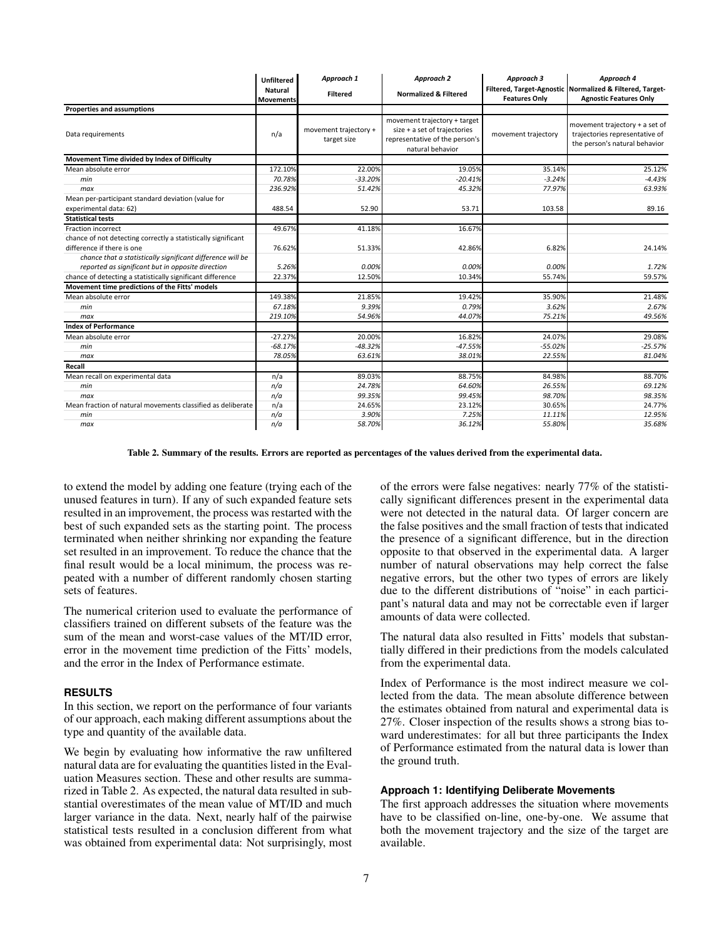|                                                                              | <b>Unfiltered</b>                  | Approach 1                           | Approach 2                                                                                                         | Approach 3           | Approach 4                                                                                        |
|------------------------------------------------------------------------------|------------------------------------|--------------------------------------|--------------------------------------------------------------------------------------------------------------------|----------------------|---------------------------------------------------------------------------------------------------|
|                                                                              | <b>Natural</b><br><b>Movements</b> | <b>Filtered</b>                      | <b>Normalized &amp; Filtered</b>                                                                                   | <b>Features Only</b> | Filtered, Target-Agnostic Normalized & Filtered, Target-<br><b>Agnostic Features Only</b>         |
| <b>Properties and assumptions</b>                                            |                                    |                                      |                                                                                                                    |                      |                                                                                                   |
| Data requirements                                                            | n/a                                | movement trajectory +<br>target size | movement trajectory + target<br>size + a set of trajectories<br>representative of the person's<br>natural behavior | movement trajectory  | movement trajectory + a set of<br>trajectories representative of<br>the person's natural behavior |
| Movement Time divided by Index of Difficulty                                 |                                    |                                      |                                                                                                                    |                      |                                                                                                   |
| Mean absolute error                                                          | 172.10%                            | 22.00%                               | 19.05%                                                                                                             | 35.14%               | 25.12%                                                                                            |
| min                                                                          | 70.78%                             | $-33.20%$                            | $-20.41%$                                                                                                          | $-3.24%$             | $-4.43%$                                                                                          |
| max                                                                          | 236.92%                            | 51.42%                               | 45.32%                                                                                                             | 77.97%               | 63.93%                                                                                            |
| Mean per-participant standard deviation (value for<br>experimental data: 62) | 488.54                             | 52.90                                | 53.71                                                                                                              | 103.58               | 89.16                                                                                             |
| <b>Statistical tests</b>                                                     |                                    |                                      |                                                                                                                    |                      |                                                                                                   |
| <b>Fraction incorrect</b>                                                    | 49.67%                             | 41.18%                               | 16.67%                                                                                                             |                      |                                                                                                   |
| chance of not detecting correctly a statistically significant                |                                    |                                      |                                                                                                                    |                      |                                                                                                   |
| difference if there is one                                                   | 76.62%                             | 51.33%                               | 42.86%                                                                                                             | 6.82%                | 24.14%                                                                                            |
| chance that a statistically significant difference will be                   |                                    |                                      |                                                                                                                    |                      |                                                                                                   |
| reported as significant but in opposite direction                            | 5.26%                              | 0.00%                                | 0.00%                                                                                                              | 0.00%                | 1.72%                                                                                             |
| chance of detecting a statistically significant difference                   | 22.37%                             | 12.50%                               | 10.34%                                                                                                             | 55.74%               | 59.57%                                                                                            |
| Movement time predictions of the Fitts' models                               |                                    |                                      |                                                                                                                    |                      |                                                                                                   |
| Mean absolute error                                                          | 149.38%                            | 21.85%                               | 19.42%                                                                                                             | 35.90%               | 21.48%                                                                                            |
| min                                                                          | 67.18%                             | 9.39%                                | 0.79%                                                                                                              | 3.62%                | 2.67%                                                                                             |
| max                                                                          | 219.10%                            | 54.96%                               | 44.07%                                                                                                             | 75.21%               | 49.56%                                                                                            |
| <b>Index of Performance</b>                                                  |                                    |                                      |                                                                                                                    |                      |                                                                                                   |
| Mean absolute error                                                          | $-27.27%$                          | 20.00%                               | 16.82%                                                                                                             | 24.07%               | 29.08%                                                                                            |
| min                                                                          | $-68.17%$                          | $-48.32%$                            | $-47.55%$                                                                                                          | $-55.02%$            | $-25.57%$                                                                                         |
| max                                                                          | 78.05%                             | 63.61%                               | 38.01%                                                                                                             | 22.55%               | 81.04%                                                                                            |
| Recall                                                                       |                                    |                                      |                                                                                                                    |                      |                                                                                                   |
| Mean recall on experimental data                                             | n/a                                | 89.03%                               | 88.75%                                                                                                             | 84.98%               | 88.70%                                                                                            |
| min                                                                          | n/a                                | 24.78%                               | 64.60%                                                                                                             | 26.55%               | 69.12%                                                                                            |
| max                                                                          | n/a                                | 99.35%                               | 99.45%                                                                                                             | 98.70%               | 98.35%                                                                                            |
| Mean fraction of natural movements classified as deliberate                  | n/a                                | 24.65%                               | 23.12%                                                                                                             | 30.65%               | 24.77%                                                                                            |
| min                                                                          | n/a                                | 3.90%                                | 7.25%                                                                                                              | 11.11%               | 12.95%                                                                                            |
| max                                                                          | n/a                                | 58.70%                               | 36.12%                                                                                                             | 55.80%               | 35.68%                                                                                            |

<span id="page-6-0"></span>Table 2. Summary of the results. Errors are reported as percentages of the values derived from the experimental data.

to extend the model by adding one feature (trying each of the unused features in turn). If any of such expanded feature sets resulted in an improvement, the process was restarted with the best of such expanded sets as the starting point. The process terminated when neither shrinking nor expanding the feature set resulted in an improvement. To reduce the chance that the final result would be a local minimum, the process was repeated with a number of different randomly chosen starting sets of features.

The numerical criterion used to evaluate the performance of classifiers trained on different subsets of the feature was the sum of the mean and worst-case values of the MT/ID error, error in the movement time prediction of the Fitts' models, and the error in the Index of Performance estimate.

## **RESULTS**

In this section, we report on the performance of four variants of our approach, each making different assumptions about the type and quantity of the available data.

We begin by evaluating how informative the raw unfiltered natural data are for evaluating the quantities listed in the Evaluation Measures section. These and other results are summarized in Table [2.](#page-6-0) As expected, the natural data resulted in substantial overestimates of the mean value of MT/ID and much larger variance in the data. Next, nearly half of the pairwise statistical tests resulted in a conclusion different from what was obtained from experimental data: Not surprisingly, most of the errors were false negatives: nearly 77% of the statistically significant differences present in the experimental data were not detected in the natural data. Of larger concern are the false positives and the small fraction of tests that indicated the presence of a significant difference, but in the direction opposite to that observed in the experimental data. A larger number of natural observations may help correct the false negative errors, but the other two types of errors are likely due to the different distributions of "noise" in each participant's natural data and may not be correctable even if larger amounts of data were collected.

The natural data also resulted in Fitts' models that substantially differed in their predictions from the models calculated from the experimental data.

Index of Performance is the most indirect measure we collected from the data. The mean absolute difference between the estimates obtained from natural and experimental data is 27%. Closer inspection of the results shows a strong bias toward underestimates: for all but three participants the Index of Performance estimated from the natural data is lower than the ground truth.

## **Approach 1: Identifying Deliberate Movements**

The first approach addresses the situation where movements have to be classified on-line, one-by-one. We assume that both the movement trajectory and the size of the target are available.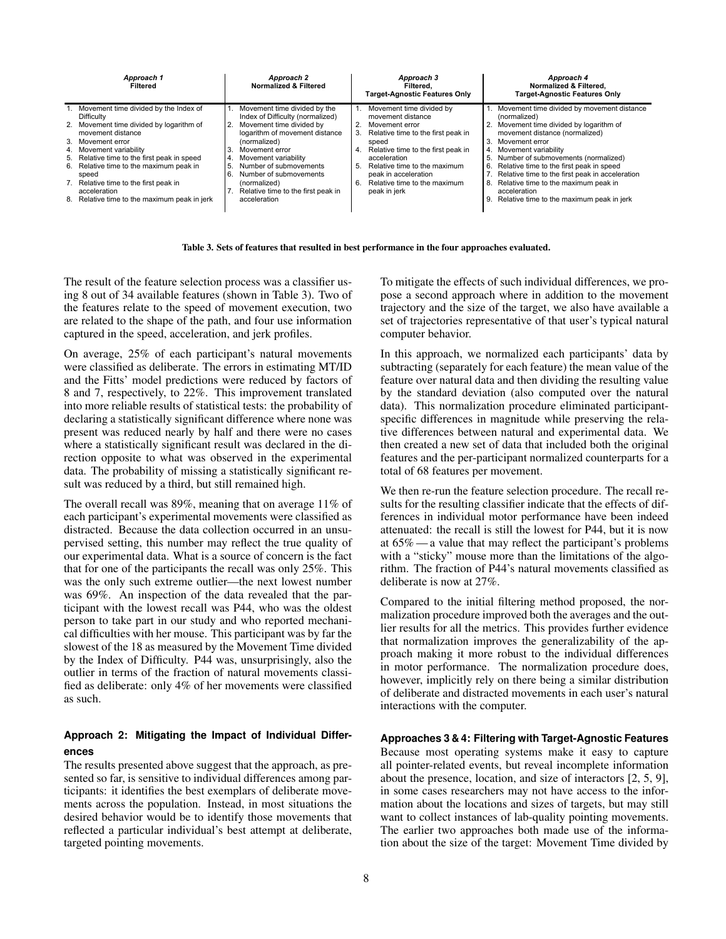| Approach 1<br>Filtered                                                                                                                                                                                                                                   | Approach 2<br><b>Normalized &amp; Filtered</b>                                                                                                                                                                   | Approach 3<br>Filtered.<br><b>Target-Agnostic Features Only</b>                                                                                                                       | Approach 4<br>Normalized & Filtered.<br><b>Target-Agnostic Features Only</b>                                                                                                                                                                                                                                        |
|----------------------------------------------------------------------------------------------------------------------------------------------------------------------------------------------------------------------------------------------------------|------------------------------------------------------------------------------------------------------------------------------------------------------------------------------------------------------------------|---------------------------------------------------------------------------------------------------------------------------------------------------------------------------------------|---------------------------------------------------------------------------------------------------------------------------------------------------------------------------------------------------------------------------------------------------------------------------------------------------------------------|
| 1. Movement time divided by the Index of<br>Difficulty<br>2. Movement time divided by logarithm of<br>movement distance                                                                                                                                  | Movement time divided by the<br>Index of Difficulty (normalized)<br>Movement time divided by<br>2.<br>logarithm of movement distance                                                                             | Movement time divided by<br>movement distance<br>2.<br>Movement error<br>3.<br>Relative time to the first peak in                                                                     | 1. Movement time divided by movement distance<br>(normalized)<br>2. Movement time divided by logarithm of<br>movement distance (normalized)                                                                                                                                                                         |
| 3. Movement error<br>4. Movement variability<br>5. Relative time to the first peak in speed<br>6. Relative time to the maximum peak in<br>speed<br>7. Relative time to the first peak in<br>acceleration<br>8. Relative time to the maximum peak in jerk | (normalized)<br>Movement error<br>3.<br>Movement variability<br><b>4.</b><br>Number of submovements<br>-5.<br>Number of submovements<br>6.<br>(normalized)<br>Relative time to the first peak in<br>acceleration | speed<br>Relative time to the first peak in<br>4.<br>acceleration<br>5.<br>Relative time to the maximum<br>peak in acceleration<br>6.<br>Relative time to the maximum<br>peak in jerk | -3<br>Movement error<br>4. Movement variability<br>Number of submovements (normalized)<br>- 5.<br>Relative time to the first peak in speed<br>6.<br>7. Relative time to the first peak in acceleration<br>Relative time to the maximum peak in<br>l 8.<br>acceleration<br>Relative time to the maximum peak in jerk |

<span id="page-7-0"></span>Table 3. Sets of features that resulted in best performance in the four approaches evaluated.

The result of the feature selection process was a classifier using 8 out of 34 available features (shown in Table [3\)](#page-7-0). Two of the features relate to the speed of movement execution, two are related to the shape of the path, and four use information captured in the speed, acceleration, and jerk profiles.

On average, 25% of each participant's natural movements were classified as deliberate. The errors in estimating MT/ID and the Fitts' model predictions were reduced by factors of 8 and 7, respectively, to 22%. This improvement translated into more reliable results of statistical tests: the probability of declaring a statistically significant difference where none was present was reduced nearly by half and there were no cases where a statistically significant result was declared in the direction opposite to what was observed in the experimental data. The probability of missing a statistically significant result was reduced by a third, but still remained high.

The overall recall was 89%, meaning that on average 11% of each participant's experimental movements were classified as distracted. Because the data collection occurred in an unsupervised setting, this number may reflect the true quality of our experimental data. What is a source of concern is the fact that for one of the participants the recall was only 25%. This was the only such extreme outlier—the next lowest number was 69%. An inspection of the data revealed that the participant with the lowest recall was P44, who was the oldest person to take part in our study and who reported mechanical difficulties with her mouse. This participant was by far the slowest of the 18 as measured by the Movement Time divided by the Index of Difficulty. P44 was, unsurprisingly, also the outlier in terms of the fraction of natural movements classified as deliberate: only 4% of her movements were classified as such.

# **Approach 2: Mitigating the Impact of Individual Differences**

The results presented above suggest that the approach, as presented so far, is sensitive to individual differences among participants: it identifies the best exemplars of deliberate movements across the population. Instead, in most situations the desired behavior would be to identify those movements that reflected a particular individual's best attempt at deliberate, targeted pointing movements.

To mitigate the effects of such individual differences, we propose a second approach where in addition to the movement trajectory and the size of the target, we also have available a set of trajectories representative of that user's typical natural computer behavior.

In this approach, we normalized each participants' data by subtracting (separately for each feature) the mean value of the feature over natural data and then dividing the resulting value by the standard deviation (also computed over the natural data). This normalization procedure eliminated participantspecific differences in magnitude while preserving the relative differences between natural and experimental data. We then created a new set of data that included both the original features and the per-participant normalized counterparts for a total of 68 features per movement.

We then re-run the feature selection procedure. The recall results for the resulting classifier indicate that the effects of differences in individual motor performance have been indeed attenuated: the recall is still the lowest for P44, but it is now at 65%— a value that may reflect the participant's problems with a "sticky" mouse more than the limitations of the algorithm. The fraction of P44's natural movements classified as deliberate is now at 27%.

Compared to the initial filtering method proposed, the normalization procedure improved both the averages and the outlier results for all the metrics. This provides further evidence that normalization improves the generalizability of the approach making it more robust to the individual differences in motor performance. The normalization procedure does, however, implicitly rely on there being a similar distribution of deliberate and distracted movements in each user's natural interactions with the computer.

## **Approaches 3 & 4: Filtering with Target-Agnostic Features**

Because most operating systems make it easy to capture all pointer-related events, but reveal incomplete information about the presence, location, and size of interactors [\[2,](#page-9-0) [5,](#page-9-7) [9\]](#page-9-22), in some cases researchers may not have access to the information about the locations and sizes of targets, but may still want to collect instances of lab-quality pointing movements. The earlier two approaches both made use of the information about the size of the target: Movement Time divided by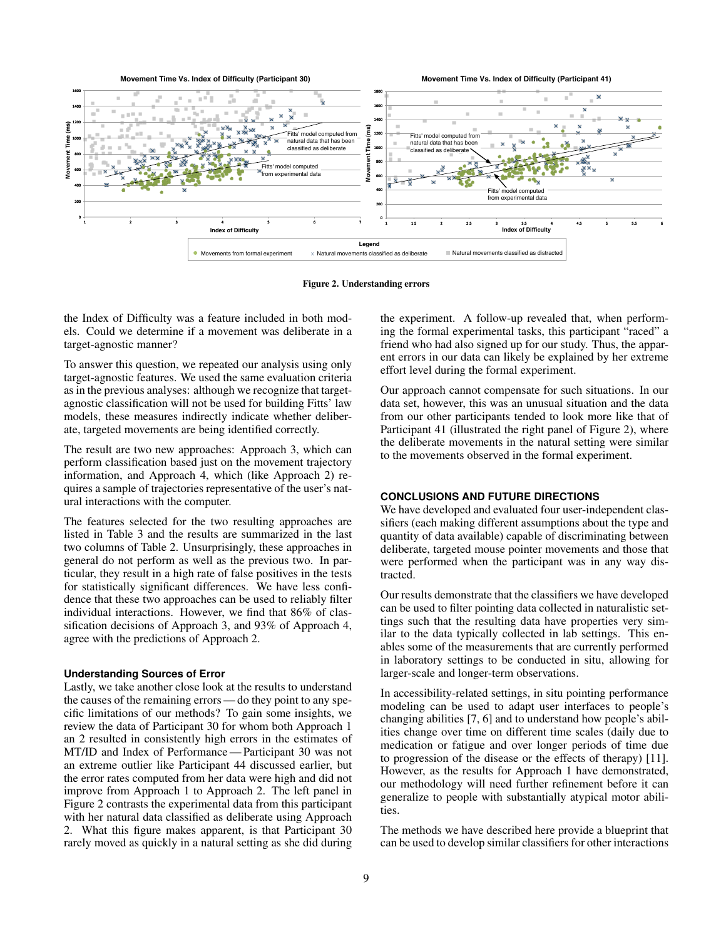

<span id="page-8-0"></span>Figure 2. Understanding errors

the Index of Difficulty was a feature included in both models. Could we determine if a movement was deliberate in a target-agnostic manner?

To answer this question, we repeated our analysis using only target-agnostic features. We used the same evaluation criteria as in the previous analyses: although we recognize that targetagnostic classification will not be used for building Fitts' law models, these measures indirectly indicate whether deliberate, targeted movements are being identified correctly.

The result are two new approaches: Approach 3, which can perform classification based just on the movement trajectory information, and Approach 4, which (like Approach 2) requires a sample of trajectories representative of the user's natural interactions with the computer.

The features selected for the two resulting approaches are listed in Table [3](#page-7-0) and the results are summarized in the last two columns of Table [2.](#page-6-0) Unsurprisingly, these approaches in general do not perform as well as the previous two. In particular, they result in a high rate of false positives in the tests for statistically significant differences. We have less confidence that these two approaches can be used to reliably filter individual interactions. However, we find that 86% of classification decisions of Approach 3, and 93% of Approach 4, agree with the predictions of Approach 2.

#### **Understanding Sources of Error**

Lastly, we take another close look at the results to understand the causes of the remaining errors — do they point to any specific limitations of our methods? To gain some insights, we review the data of Participant 30 for whom both Approach 1 an 2 resulted in consistently high errors in the estimates of MT/ID and Index of Performance — Participant 30 was not an extreme outlier like Participant 44 discussed earlier, but the error rates computed from her data were high and did not improve from Approach 1 to Approach 2. The left panel in Figure [2](#page-8-0) contrasts the experimental data from this participant with her natural data classified as deliberate using Approach 2. What this figure makes apparent, is that Participant 30 rarely moved as quickly in a natural setting as she did during

the experiment. A follow-up revealed that, when performing the formal experimental tasks, this participant "raced" a friend who had also signed up for our study. Thus, the apparent errors in our data can likely be explained by her extreme effort level during the formal experiment.

Our approach cannot compensate for such situations. In our data set, however, this was an unusual situation and the data from our other participants tended to look more like that of Participant 41 (illustrated the right panel of Figure [2\)](#page-8-0), where the deliberate movements in the natural setting were similar to the movements observed in the formal experiment.

# **CONCLUSIONS AND FUTURE DIRECTIONS**

We have developed and evaluated four user-independent classifiers (each making different assumptions about the type and quantity of data available) capable of discriminating between deliberate, targeted mouse pointer movements and those that were performed when the participant was in any way distracted.

Our results demonstrate that the classifiers we have developed can be used to filter pointing data collected in naturalistic settings such that the resulting data have properties very similar to the data typically collected in lab settings. This enables some of the measurements that are currently performed in laboratory settings to be conducted in situ, allowing for larger-scale and longer-term observations.

In accessibility-related settings, in situ pointing performance modeling can be used to adapt user interfaces to people's changing abilities [\[7,](#page-9-3) [6\]](#page-9-5) and to understand how people's abilities change over time on different time scales (daily due to medication or fatigue and over longer periods of time due to progression of the disease or the effects of therapy) [\[11\]](#page-9-1). However, as the results for Approach 1 have demonstrated, our methodology will need further refinement before it can generalize to people with substantially atypical motor abilities.

The methods we have described here provide a blueprint that can be used to develop similar classifiers for other interactions